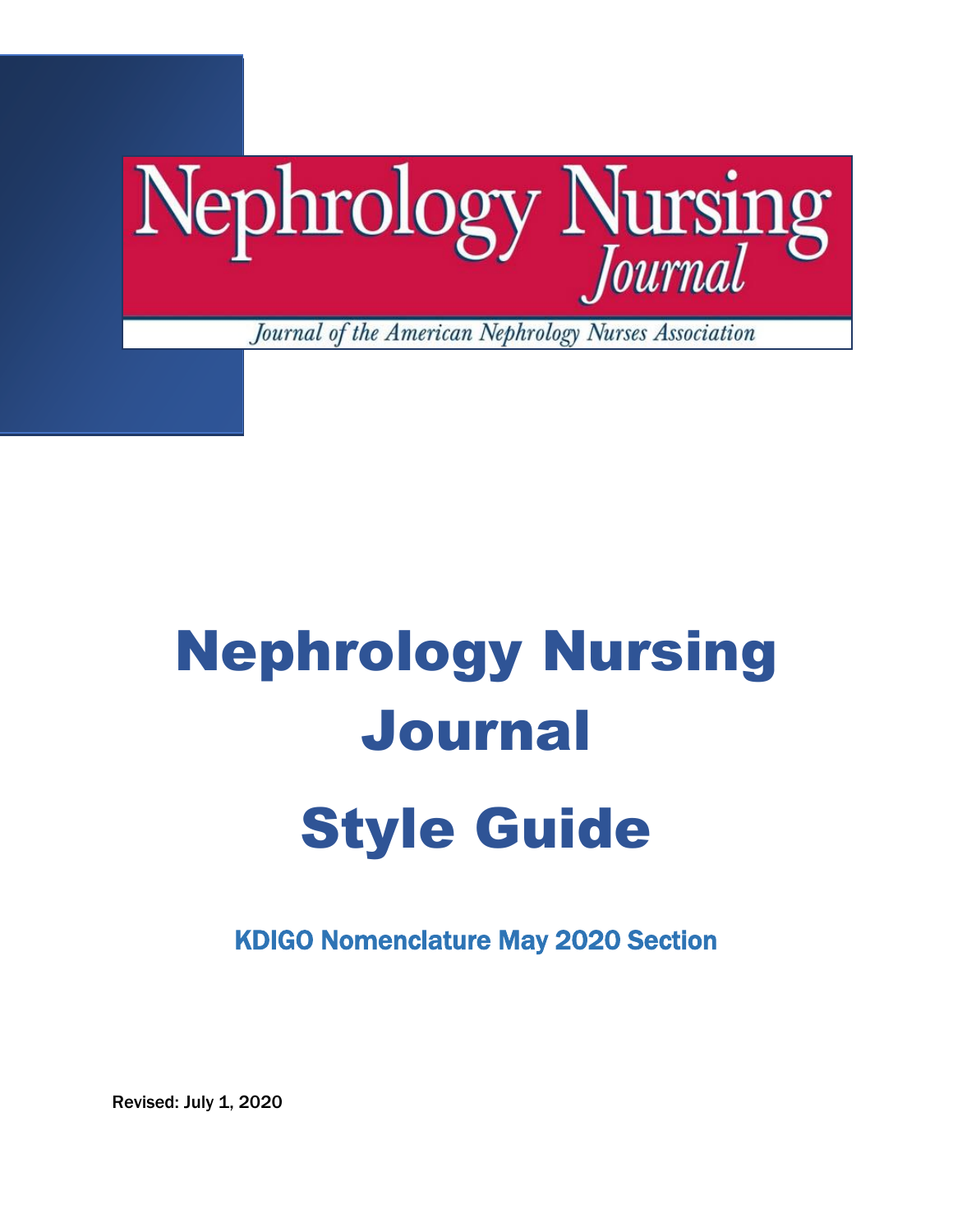

# Nephrology Nursing Journal Style Guide

KDIGO Nomenclature May 2020 Section

Revised: July 1, 2020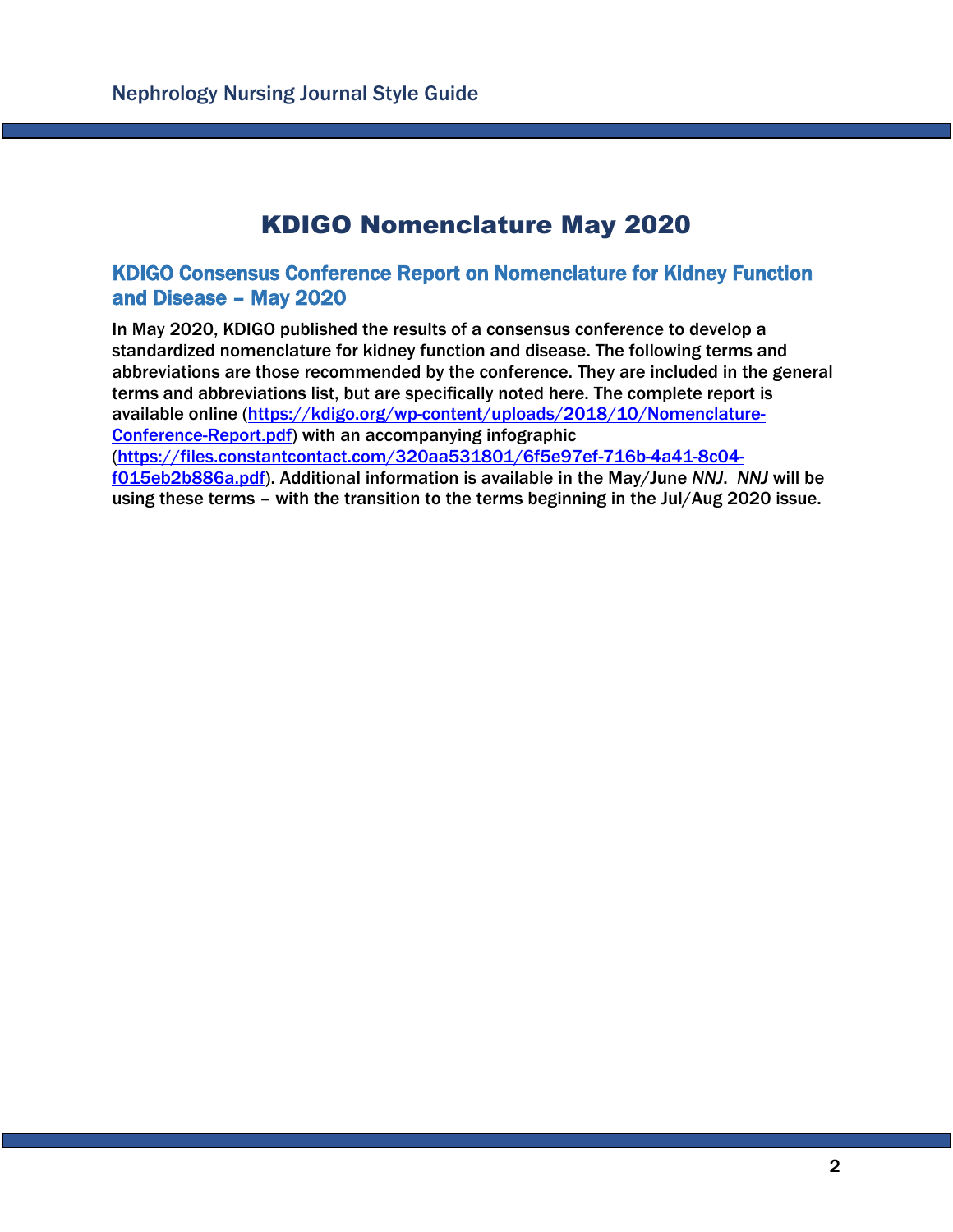## KDIGO Nomenclature May 2020

### KDIGO Consensus Conference Report on Nomenclature for Kidney Function and Disease – May 2020

In May 2020, KDIGO published the results of a consensus conference to develop a standardized nomenclature for kidney function and disease. The following terms and abbreviations are those recommended by the conference. They are included in the general terms and abbreviations list, but are specifically noted here. The complete report is available online [\(https://kdigo.org/wp-content/uploads/2018/10/Nomenclature-](https://kdigo.org/wp-content/uploads/2018/10/Nomenclature-Conference-Report.pdf)[Conference-Report.pdf\)](https://kdigo.org/wp-content/uploads/2018/10/Nomenclature-Conference-Report.pdf) with an accompanying infographic [\(https://files.constantcontact.com/320aa531801/6f5e97ef-716b-4a41-8c04](https://files.constantcontact.com/320aa531801/6f5e97ef-716b-4a41-8c04-f015eb2b886a.pdf) [f015eb2b886a.pdf\)](https://files.constantcontact.com/320aa531801/6f5e97ef-716b-4a41-8c04-f015eb2b886a.pdf). Additional information is available in the May/June *NNJ*. *NNJ* will be using these terms – with the transition to the terms beginning in the Jul/Aug 2020 issue.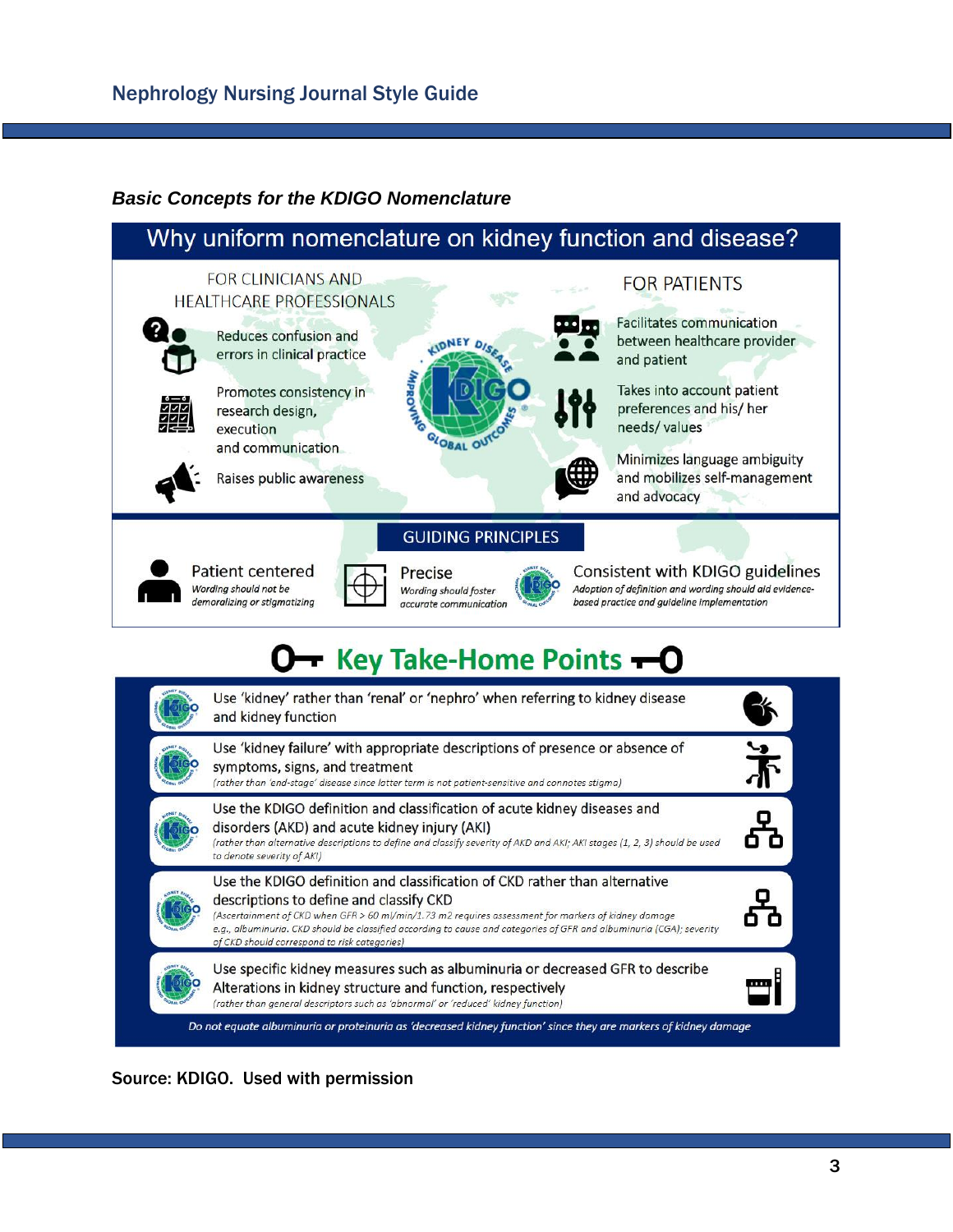## *Basic Concepts for the KDIGO Nomenclature*



Source: KDIGO. Used with permission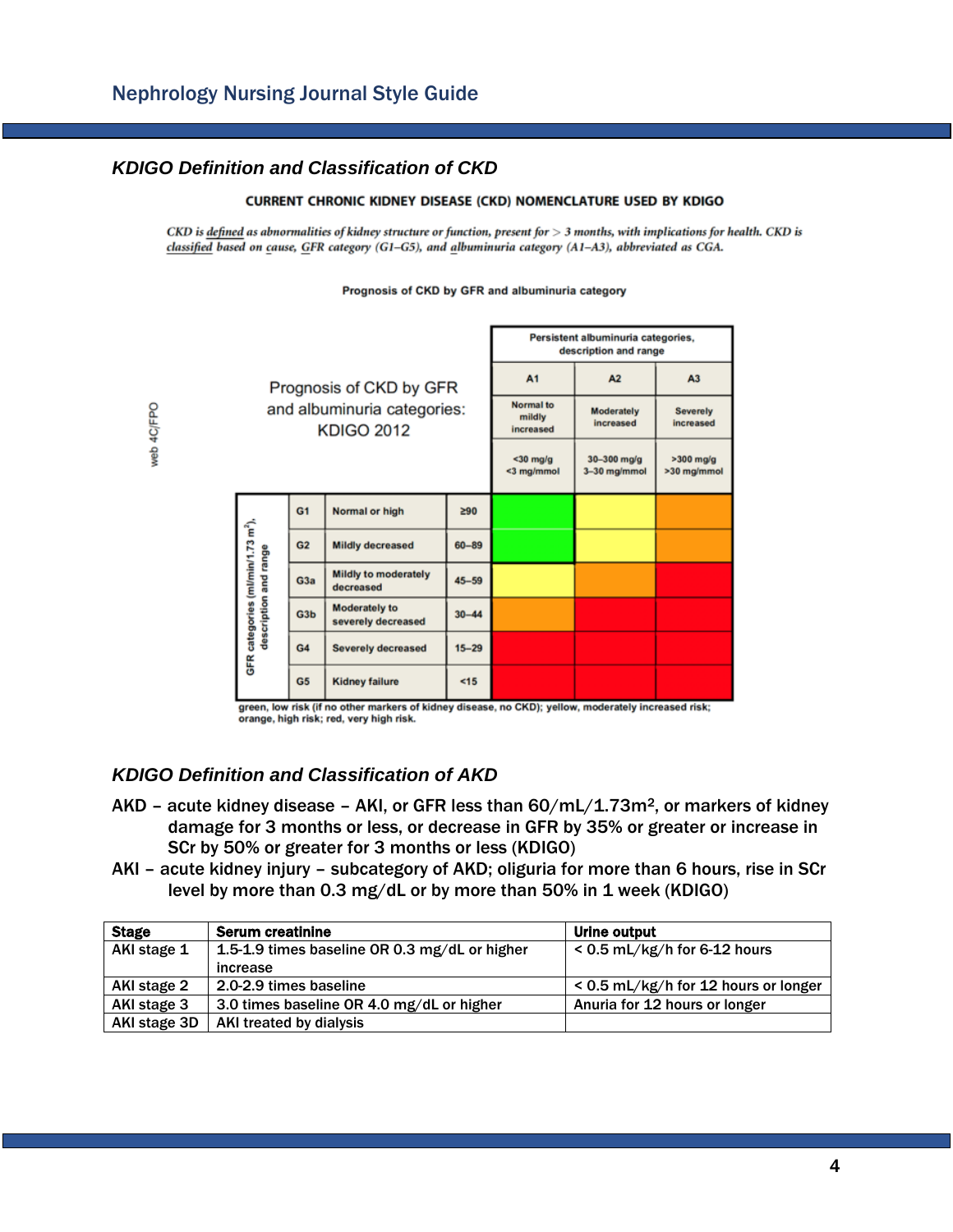#### *KDIGO Definition and Classification of CKD*

web 4C/FPO

#### **CURRENT CHRONIC KIDNEY DISEASE (CKD) NOMENCLATURE USED BY KDIGO**

 $CKD$  is defined as abnormalities of kidney structure or function, present for  $>3$  months, with implications for health. CKD is classified based on cause, GFR category (G1-G5), and albuminuria category (A1-A3), abbreviated as CGA.

Prognosis of CKD by GFR and albuminuria category

|  |                                                                        |                  |                                                  |                                         | Persistent albuminuria categories,<br>description and range |                              |  |
|--|------------------------------------------------------------------------|------------------|--------------------------------------------------|-----------------------------------------|-------------------------------------------------------------|------------------------------|--|
|  |                                                                        |                  | Prognosis of CKD by GFR                          | A <sub>1</sub>                          | A2                                                          | A <sub>3</sub>               |  |
|  |                                                                        |                  | and albuminuria categories:<br><b>KDIGO 2012</b> | <b>Normal</b> to<br>mildly<br>increased | <b>Moderately</b><br>increased                              | <b>Severely</b><br>increased |  |
|  |                                                                        |                  |                                                  | $30$ mg/g<br><3 mg/mmol                 | $30 - 300$ mg/g<br>3-30 mg/mmol                             | $>300$ mg/g<br>>30 mg/mmol   |  |
|  | GFR categories (ml/min/1.73 m <sup>2</sup> ),<br>description and range | G <sub>1</sub>   | Normal or high                                   | ≥90                                     |                                                             |                              |  |
|  |                                                                        | G <sub>2</sub>   | <b>Mildly decreased</b>                          | $60 - 89$                               |                                                             |                              |  |
|  |                                                                        | G <sub>3a</sub>  | <b>Mildly to moderately</b><br>decreased         | $45 - 59$                               |                                                             |                              |  |
|  |                                                                        | G <sub>3</sub> b | <b>Moderately to</b><br>severely decreased       | $30 - 44$                               |                                                             |                              |  |
|  |                                                                        | G4               | <b>Severely decreased</b>                        | $15 - 29$                               |                                                             |                              |  |
|  |                                                                        | G <sub>5</sub>   | <b>Kidney failure</b>                            | < 15                                    |                                                             |                              |  |

green, low risk (if no other markers of kidney disease, no CKD); yellow, moderately increased risk; orange, high risk; red, very high risk.

#### *KDIGO Definition and Classification of AKD*

- $AKD$  acute kidney disease AKI, or GFR less than  $60/mL/1.73m<sup>2</sup>$ , or markers of kidney damage for 3 months or less, or decrease in GFR by 35% or greater or increase in SCr by 50% or greater for 3 months or less (KDIGO)
- AKI acute kidney injury subcategory of AKD; oliguria for more than 6 hours, rise in SCr level by more than 0.3 mg/dL or by more than 50% in 1 week (KDIGO)

| <b>Stage</b> | <b>Serum creatinine</b>                       | Urine output                         |  |
|--------------|-----------------------------------------------|--------------------------------------|--|
| AKI stage 1  | 1.5-1.9 times baseline OR 0.3 mg/dL or higher | $< 0.5$ mL/kg/h for 6-12 hours       |  |
|              | increase                                      |                                      |  |
| AKI stage 2  | 2.0-2.9 times baseline                        | < 0.5 mL/kg/h for 12 hours or longer |  |
| AKI stage 3  | 3.0 times baseline OR 4.0 mg/dL or higher     | Anuria for 12 hours or longer        |  |
| AKI stage 3D | AKI treated by dialysis                       |                                      |  |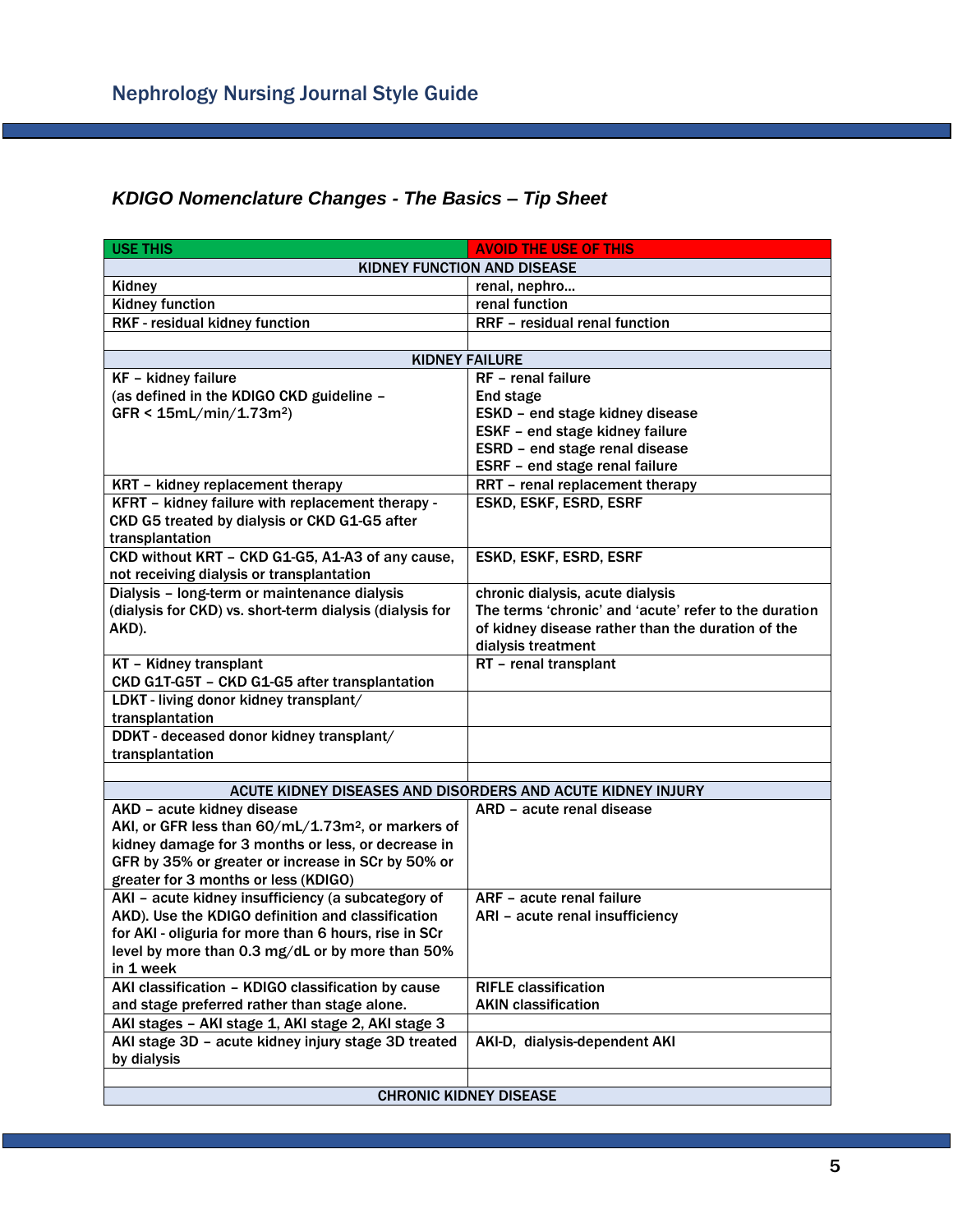## *KDIGO Nomenclature Changes - The Basics – Tip Sheet*

| <b>USE THIS</b>                                                | <b>AVOID THE USE OF THIS</b>                          |  |  |  |  |
|----------------------------------------------------------------|-------------------------------------------------------|--|--|--|--|
| KIDNEY FUNCTION AND DISEASE                                    |                                                       |  |  |  |  |
| Kidney                                                         | renal, nephro                                         |  |  |  |  |
| <b>Kidney function</b>                                         | renal function                                        |  |  |  |  |
| RKF - residual kidney function                                 | RRF - residual renal function                         |  |  |  |  |
|                                                                |                                                       |  |  |  |  |
| <b>KIDNEY FAILURE</b>                                          |                                                       |  |  |  |  |
| KF - kidney failure                                            | RF - renal failure                                    |  |  |  |  |
| (as defined in the KDIGO CKD guideline -                       | End stage                                             |  |  |  |  |
| $GFR < 15mL/min/1.73m2$ )                                      | ESKD - end stage kidney disease                       |  |  |  |  |
|                                                                | ESKF - end stage kidney failure                       |  |  |  |  |
|                                                                | ESRD - end stage renal disease                        |  |  |  |  |
|                                                                | ESRF - end stage renal failure                        |  |  |  |  |
| KRT - kidney replacement therapy                               | RRT - renal replacement therapy                       |  |  |  |  |
| KFRT - kidney failure with replacement therapy -               | ESKD, ESKF, ESRD, ESRF                                |  |  |  |  |
| CKD G5 treated by dialysis or CKD G1-G5 after                  |                                                       |  |  |  |  |
| transplantation                                                |                                                       |  |  |  |  |
| CKD without KRT - CKD G1-G5, A1-A3 of any cause,               | ESKD, ESKF, ESRD, ESRF                                |  |  |  |  |
| not receiving dialysis or transplantation                      |                                                       |  |  |  |  |
| Dialysis - long-term or maintenance dialysis                   | chronic dialysis, acute dialysis                      |  |  |  |  |
| (dialysis for CKD) vs. short-term dialysis (dialysis for       | The terms 'chronic' and 'acute' refer to the duration |  |  |  |  |
| AKD).                                                          | of kidney disease rather than the duration of the     |  |  |  |  |
| KT - Kidney transplant                                         | dialysis treatment<br>RT - renal transplant           |  |  |  |  |
| CKD G1T-G5T - CKD G1-G5 after transplantation                  |                                                       |  |  |  |  |
| LDKT - living donor kidney transplant/                         |                                                       |  |  |  |  |
| transplantation                                                |                                                       |  |  |  |  |
| DDKT - deceased donor kidney transplant/                       |                                                       |  |  |  |  |
| transplantation                                                |                                                       |  |  |  |  |
| ACUTE KIDNEY DISEASES AND DISORDERS AND ACUTE KIDNEY INJURY    |                                                       |  |  |  |  |
| AKD - acute kidney disease                                     | ARD – acute renal disease                             |  |  |  |  |
| AKI, or GFR less than 60/mL/1.73m <sup>2</sup> , or markers of |                                                       |  |  |  |  |
| kidney damage for 3 months or less, or decrease in             |                                                       |  |  |  |  |
| GFR by 35% or greater or increase in SCr by 50% or             |                                                       |  |  |  |  |
| greater for 3 months or less (KDIGO)                           |                                                       |  |  |  |  |
| AKI - acute kidney insufficiency (a subcategory of             | ARF - acute renal failure                             |  |  |  |  |
| AKD). Use the KDIGO definition and classification              | ARI - acute renal insufficiency                       |  |  |  |  |
| for AKI - oliguria for more than 6 hours, rise in SCr          |                                                       |  |  |  |  |
| level by more than 0.3 mg/dL or by more than 50%               |                                                       |  |  |  |  |
| in 1 week                                                      |                                                       |  |  |  |  |
| AKI classification - KDIGO classification by cause             | <b>RIFLE classification</b>                           |  |  |  |  |
| and stage preferred rather than stage alone.                   | <b>AKIN classification</b>                            |  |  |  |  |
| AKI stages - AKI stage 1, AKI stage 2, AKI stage 3             |                                                       |  |  |  |  |
| AKI stage 3D - acute kidney injury stage 3D treated            | AKI-D, dialysis-dependent AKI                         |  |  |  |  |
| by dialysis                                                    |                                                       |  |  |  |  |
|                                                                |                                                       |  |  |  |  |
| <b>CHRONIC KIDNEY DISEASE</b>                                  |                                                       |  |  |  |  |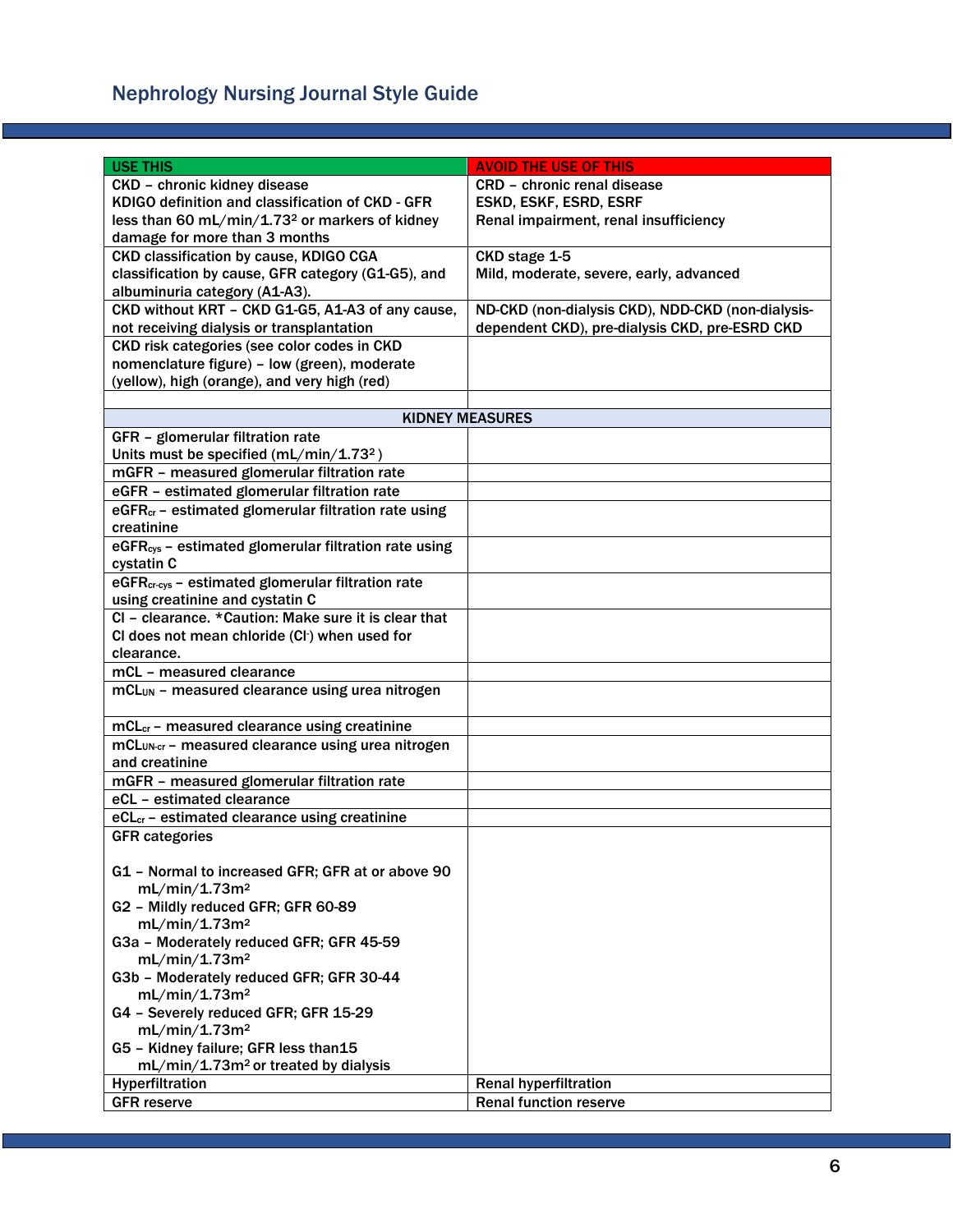# Nephrology Nursing Journal Style Guide

| <b>USE THIS</b>                                                   | <b>AVOID THE USE OF THIS</b>                      |
|-------------------------------------------------------------------|---------------------------------------------------|
| CKD - chronic kidney disease                                      | <b>CRD</b> - chronic renal disease                |
| KDIGO definition and classification of CKD - GFR                  | ESKD, ESKF, ESRD, ESRF                            |
|                                                                   |                                                   |
| less than 60 mL/min/1.73 <sup>2</sup> or markers of kidney        | Renal impairment, renal insufficiency             |
| damage for more than 3 months                                     |                                                   |
| CKD classification by cause, KDIGO CGA                            | CKD stage 1-5                                     |
| classification by cause, GFR category (G1-G5), and                | Mild, moderate, severe, early, advanced           |
| albuminuria category (A1-A3).                                     |                                                   |
| CKD without KRT - CKD G1-G5, A1-A3 of any cause,                  | ND-CKD (non-dialysis CKD), NDD-CKD (non-dialysis- |
| not receiving dialysis or transplantation                         | dependent CKD), pre-dialysis CKD, pre-ESRD CKD    |
| CKD risk categories (see color codes in CKD                       |                                                   |
| nomenclature figure) - low (green), moderate                      |                                                   |
| (yellow), high (orange), and very high (red)                      |                                                   |
|                                                                   |                                                   |
|                                                                   | <b>KIDNEY MEASURES</b>                            |
| GFR - glomerular filtration rate                                  |                                                   |
| Units must be specified (mL/min/1.73 <sup>2</sup> )               |                                                   |
| mGFR - measured glomerular filtration rate                        |                                                   |
| eGFR - estimated glomerular filtration rate                       |                                                   |
| eGFR <sub>cr</sub> - estimated glomerular filtration rate using   |                                                   |
| creatinine                                                        |                                                   |
| eGFR <sub>cys</sub> - estimated glomerular filtration rate using  |                                                   |
| cystatin C                                                        |                                                   |
| $\overline{eGFR}_{cr-cys}$ – estimated glomerular filtration rate |                                                   |
| using creatinine and cystatin C                                   |                                                   |
| CI - clearance. * Caution: Make sure it is clear that             |                                                   |
| CI does not mean chloride (CI-) when used for                     |                                                   |
| clearance.                                                        |                                                   |
| mCL - measured clearance                                          |                                                   |
| mCL <sub>UN</sub> - measured clearance using urea nitrogen        |                                                   |
|                                                                   |                                                   |
| mCL <sub>cr</sub> - measured clearance using creatinine           |                                                   |
| mCL <sub>UN-cr</sub> - measured clearance using urea nitrogen     |                                                   |
| and creatinine                                                    |                                                   |
| mGFR - measured glomerular filtration rate                        |                                                   |
| eCL - estimated clearance                                         |                                                   |
| eCL <sub>cr</sub> - estimated clearance using creatinine          |                                                   |
| <b>GFR categories</b>                                             |                                                   |
|                                                                   |                                                   |
| G1 - Normal to increased GFR; GFR at or above 90                  |                                                   |
| mL/min/1.73m <sup>2</sup>                                         |                                                   |
| G2 - Mildly reduced GFR; GFR 60-89                                |                                                   |
| mL/min/1.73m <sup>2</sup>                                         |                                                   |
| G3a - Moderately reduced GFR; GFR 45-59                           |                                                   |
| mL/min/1.73m <sup>2</sup>                                         |                                                   |
| G3b - Moderately reduced GFR; GFR 30-44                           |                                                   |
| mL/min/1.73m <sup>2</sup>                                         |                                                   |
| G4 - Severely reduced GFR; GFR 15-29                              |                                                   |
| mL/min/1.73m <sup>2</sup>                                         |                                                   |
| G5 - Kidney failure; GFR less than15                              |                                                   |
| mL/min/1.73m <sup>2</sup> or treated by dialysis                  |                                                   |
| Hyperfiltration                                                   | <b>Renal hyperfiltration</b>                      |
| <b>GFR</b> reserve                                                | <b>Renal function reserve</b>                     |
|                                                                   |                                                   |